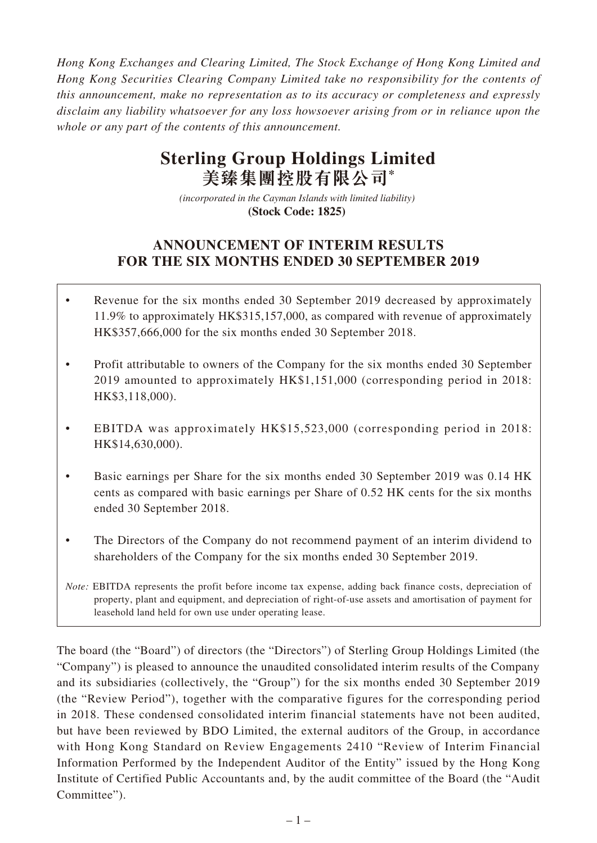*Hong Kong Exchanges and Clearing Limited, The Stock Exchange of Hong Kong Limited and Hong Kong Securities Clearing Company Limited take no responsibility for the contents of this announcement, make no representation as to its accuracy or completeness and expressly disclaim any liability whatsoever for any loss howsoever arising from or in reliance upon the whole or any part of the contents of this announcement.*

# **Sterling Group Holdings Limited 美臻集團控股有限公司\***

*(incorporated in the Cayman Islands with limited liability)*  **(Stock Code: 1825)** 

# **ANNOUNCEMENT OF INTERIM RESULTS FOR THE SIX MONTHS ENDED 30 SEPTEMBER 2019**

- Revenue for the six months ended 30 September 2019 decreased by approximately 11.9% to approximately HK\$315,157,000, as compared with revenue of approximately HK\$357,666,000 for the six months ended 30 September 2018.
- Profit attributable to owners of the Company for the six months ended 30 September 2019 amounted to approximately HK\$1,151,000 (corresponding period in 2018: HK\$3,118,000).
- EBITDA was approximately HK\$15,523,000 (corresponding period in 2018: HK\$14,630,000).
- Basic earnings per Share for the six months ended 30 September 2019 was 0.14 HK cents as compared with basic earnings per Share of 0.52 HK cents for the six months ended 30 September 2018.
- The Directors of the Company do not recommend payment of an interim dividend to shareholders of the Company for the six months ended 30 September 2019.

The board (the "Board") of directors (the "Directors") of Sterling Group Holdings Limited (the "Company") is pleased to announce the unaudited consolidated interim results of the Company and its subsidiaries (collectively, the "Group") for the six months ended 30 September 2019 (the "Review Period"), together with the comparative figures for the corresponding period in 2018. These condensed consolidated interim financial statements have not been audited, but have been reviewed by BDO Limited, the external auditors of the Group, in accordance with Hong Kong Standard on Review Engagements 2410 "Review of Interim Financial Information Performed by the Independent Auditor of the Entity" issued by the Hong Kong Institute of Certified Public Accountants and, by the audit committee of the Board (the "Audit Committee").

*Note:* EBITDA represents the profit before income tax expense, adding back finance costs, depreciation of property, plant and equipment, and depreciation of right-of-use assets and amortisation of payment for leasehold land held for own use under operating lease.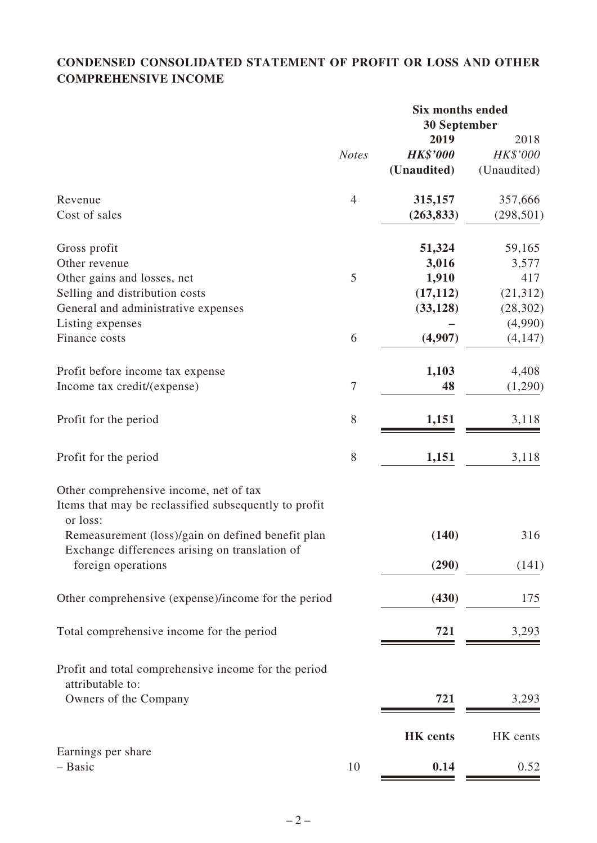# **CONDENSED CONSOLIDATED STATEMENT OF PROFIT OR LOSS AND OTHER COMPREHENSIVE INCOME**

|                                                                          |                  | <b>Six months ended</b> |             |
|--------------------------------------------------------------------------|------------------|-------------------------|-------------|
|                                                                          |                  | 30 September            |             |
|                                                                          |                  | 2019                    | 2018        |
|                                                                          | <b>Notes</b>     | <b>HK\$'000</b>         | HK\$'000    |
|                                                                          |                  | (Unaudited)             | (Unaudited) |
| Revenue                                                                  | $\overline{4}$   | 315,157                 | 357,666     |
| Cost of sales                                                            |                  | (263, 833)              | (298, 501)  |
| Gross profit                                                             |                  | 51,324                  | 59,165      |
| Other revenue                                                            |                  | 3,016                   | 3,577       |
| Other gains and losses, net                                              | 5                | 1,910                   | 417         |
| Selling and distribution costs                                           |                  | (17, 112)               | (21, 312)   |
| General and administrative expenses                                      |                  | (33, 128)               | (28, 302)   |
| Listing expenses                                                         |                  |                         | (4,990)     |
| Finance costs                                                            | 6                | (4,907)                 | (4,147)     |
| Profit before income tax expense                                         |                  | 1,103                   | 4,408       |
| Income tax credit/(expense)                                              | $\boldsymbol{7}$ | 48                      | (1,290)     |
| Profit for the period                                                    | 8                | 1,151                   | 3,118       |
| Profit for the period                                                    | $8\,$            | 1,151                   | 3,118       |
| Other comprehensive income, net of tax                                   |                  |                         |             |
| Items that may be reclassified subsequently to profit<br>or loss:        |                  |                         |             |
| Remeasurement (loss)/gain on defined benefit plan                        |                  | (140)                   | 316         |
| Exchange differences arising on translation of<br>foreign operations     |                  | (290)                   | (141)       |
| Other comprehensive (expense)/income for the period                      |                  | (430)                   | 175         |
|                                                                          |                  |                         |             |
| Total comprehensive income for the period                                |                  | 721                     | 3,293       |
| Profit and total comprehensive income for the period<br>attributable to: |                  |                         |             |
| Owners of the Company                                                    |                  | 721                     | 3,293       |
|                                                                          |                  | <b>HK</b> cents         | HK cents    |
| Earnings per share                                                       |                  |                         |             |
| - Basic                                                                  | 10               | 0.14                    | 0.52        |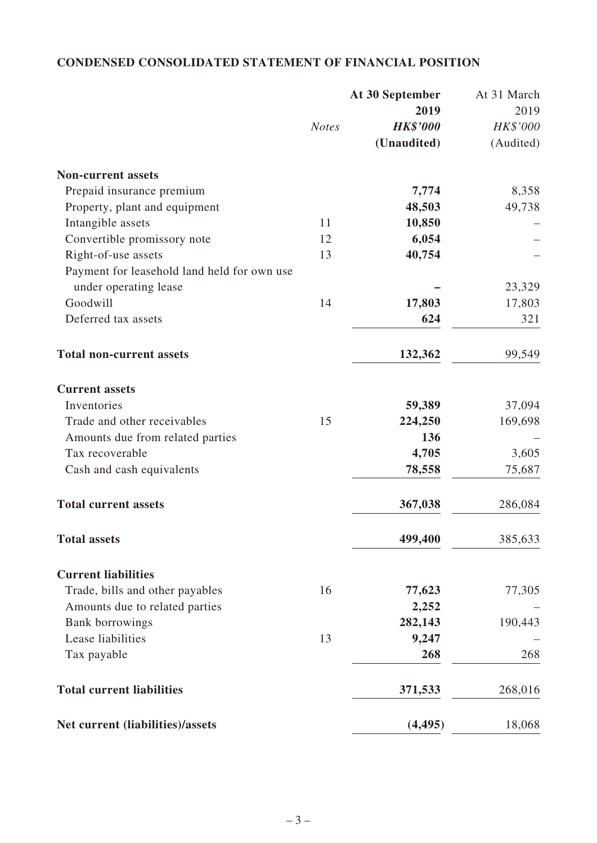# **CONDENSED CONSOLIDATED STATEMENT OF FINANCIAL POSITION**

|                                             |              | At 30 September | At 31 March |
|---------------------------------------------|--------------|-----------------|-------------|
|                                             |              | 2019            | 2019        |
|                                             | <b>Notes</b> | <b>HK\$'000</b> | HK\$'000    |
|                                             |              | (Unaudited)     | (Audited)   |
| <b>Non-current assets</b>                   |              |                 |             |
| Prepaid insurance premium                   |              | 7,774           | 8,358       |
| Property, plant and equipment               |              | 48,503          | 49,738      |
| Intangible assets                           | 11           | 10,850          |             |
| Convertible promissory note                 | 12           | 6,054           |             |
| Right-of-use assets                         | 13           | 40,754          |             |
| Payment for leasehold land held for own use |              |                 |             |
| under operating lease                       |              |                 | 23,329      |
| Goodwill                                    | 14           | 17,803          | 17,803      |
| Deferred tax assets                         |              | 624             | 321         |
| <b>Total non-current assets</b>             |              | 132,362         | 99,549      |
| <b>Current assets</b>                       |              |                 |             |
| Inventories                                 |              | 59,389          | 37,094      |
| Trade and other receivables                 | 15           | 224,250         | 169,698     |
| Amounts due from related parties            |              | 136             |             |
| Tax recoverable                             |              | 4,705           | 3,605       |
| Cash and cash equivalents                   |              | 78,558          | 75,687      |
| <b>Total current assets</b>                 |              | 367,038         | 286,084     |
| <b>Total assets</b>                         |              | 499,400         | 385,633     |
| <b>Current liabilities</b>                  |              |                 |             |
| Trade, bills and other payables             | 16           | 77,623          | 77,305      |
| Amounts due to related parties              |              | 2,252           |             |
| <b>Bank borrowings</b>                      |              | 282,143         | 190,443     |
| Lease liabilities                           | 13           | 9,247           |             |
| Tax payable                                 |              | 268             | 268         |
| <b>Total current liabilities</b>            |              | 371,533         | 268,016     |
| Net current (liabilities)/assets            |              | (4, 495)        | 18,068      |
|                                             |              |                 |             |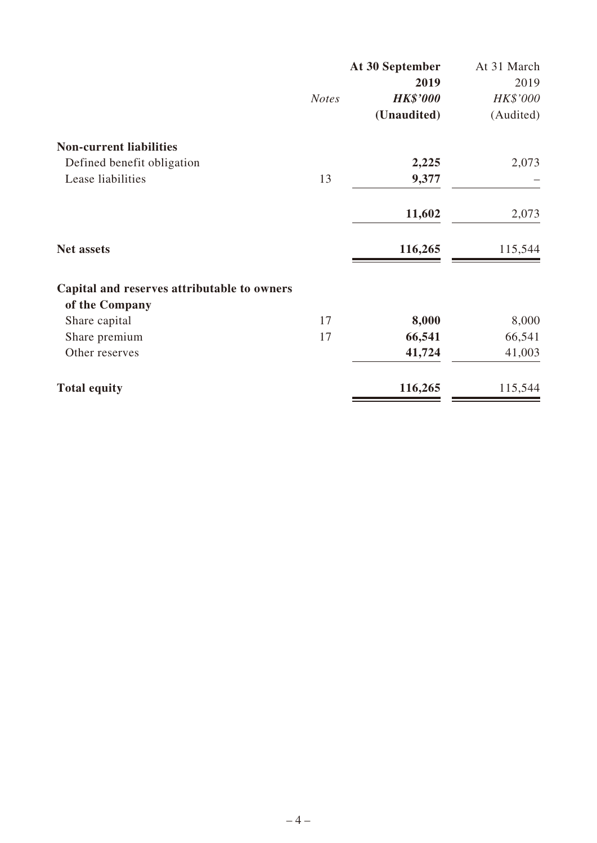|                                             |              | At 30 September | At 31 March |
|---------------------------------------------|--------------|-----------------|-------------|
|                                             |              | 2019            | 2019        |
|                                             | <b>Notes</b> | <b>HK\$'000</b> | HK\$'000    |
|                                             |              | (Unaudited)     | (Audited)   |
| <b>Non-current liabilities</b>              |              |                 |             |
| Defined benefit obligation                  |              | 2,225           | 2,073       |
| Lease liabilities                           | 13           | 9,377           |             |
|                                             |              | 11,602          | 2,073       |
| <b>Net assets</b>                           |              | 116,265         | 115,544     |
| Capital and reserves attributable to owners |              |                 |             |
| of the Company                              |              |                 |             |
| Share capital                               | 17           | 8,000           | 8,000       |
| Share premium                               | 17           | 66,541          | 66,541      |
| Other reserves                              |              | 41,724          | 41,003      |
| <b>Total equity</b>                         |              | 116,265         | 115,544     |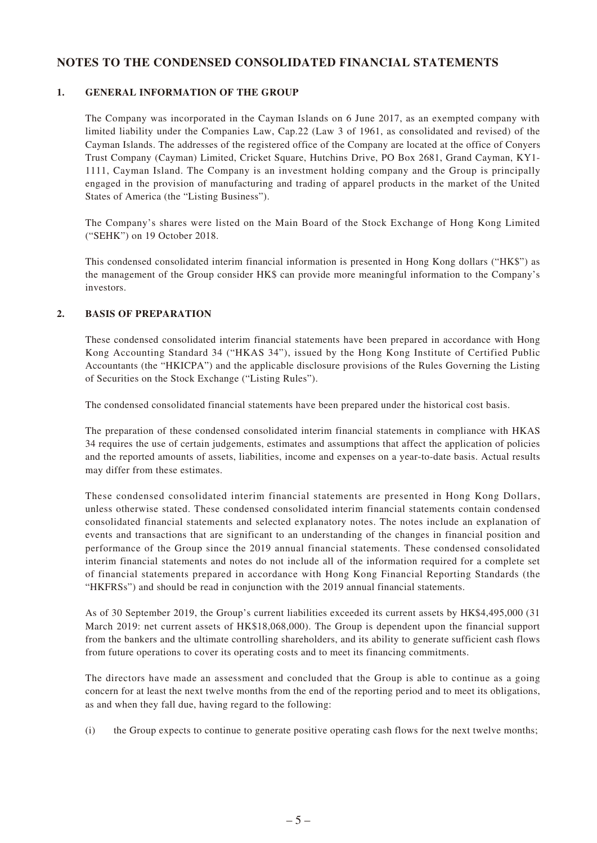### **NOTES TO THE CONDENSED CONSOLIDATED FINANCIAL STATEMENTS**

#### **1. GENERAL INFORMATION OF THE GROUP**

The Company was incorporated in the Cayman Islands on 6 June 2017, as an exempted company with limited liability under the Companies Law, Cap.22 (Law 3 of 1961, as consolidated and revised) of the Cayman Islands. The addresses of the registered office of the Company are located at the office of Conyers Trust Company (Cayman) Limited, Cricket Square, Hutchins Drive, PO Box 2681, Grand Cayman, KY1- 1111, Cayman Island. The Company is an investment holding company and the Group is principally engaged in the provision of manufacturing and trading of apparel products in the market of the United States of America (the "Listing Business").

The Company's shares were listed on the Main Board of the Stock Exchange of Hong Kong Limited ("SEHK") on 19 October 2018.

This condensed consolidated interim financial information is presented in Hong Kong dollars ("HK\$") as the management of the Group consider HK\$ can provide more meaningful information to the Company's investors.

#### **2. BASIS OF PREPARATION**

These condensed consolidated interim financial statements have been prepared in accordance with Hong Kong Accounting Standard 34 ("HKAS 34"), issued by the Hong Kong Institute of Certified Public Accountants (the "HKICPA") and the applicable disclosure provisions of the Rules Governing the Listing of Securities on the Stock Exchange ("Listing Rules").

The condensed consolidated financial statements have been prepared under the historical cost basis.

The preparation of these condensed consolidated interim financial statements in compliance with HKAS 34 requires the use of certain judgements, estimates and assumptions that affect the application of policies and the reported amounts of assets, liabilities, income and expenses on a year-to-date basis. Actual results may differ from these estimates.

These condensed consolidated interim financial statements are presented in Hong Kong Dollars, unless otherwise stated. These condensed consolidated interim financial statements contain condensed consolidated financial statements and selected explanatory notes. The notes include an explanation of events and transactions that are significant to an understanding of the changes in financial position and performance of the Group since the 2019 annual financial statements. These condensed consolidated interim financial statements and notes do not include all of the information required for a complete set of financial statements prepared in accordance with Hong Kong Financial Reporting Standards (the "HKFRSs") and should be read in conjunction with the 2019 annual financial statements.

As of 30 September 2019, the Group's current liabilities exceeded its current assets by HK\$4,495,000 (31 March 2019: net current assets of HK\$18,068,000). The Group is dependent upon the financial support from the bankers and the ultimate controlling shareholders, and its ability to generate sufficient cash flows from future operations to cover its operating costs and to meet its financing commitments.

The directors have made an assessment and concluded that the Group is able to continue as a going concern for at least the next twelve months from the end of the reporting period and to meet its obligations, as and when they fall due, having regard to the following:

(i) the Group expects to continue to generate positive operating cash flows for the next twelve months;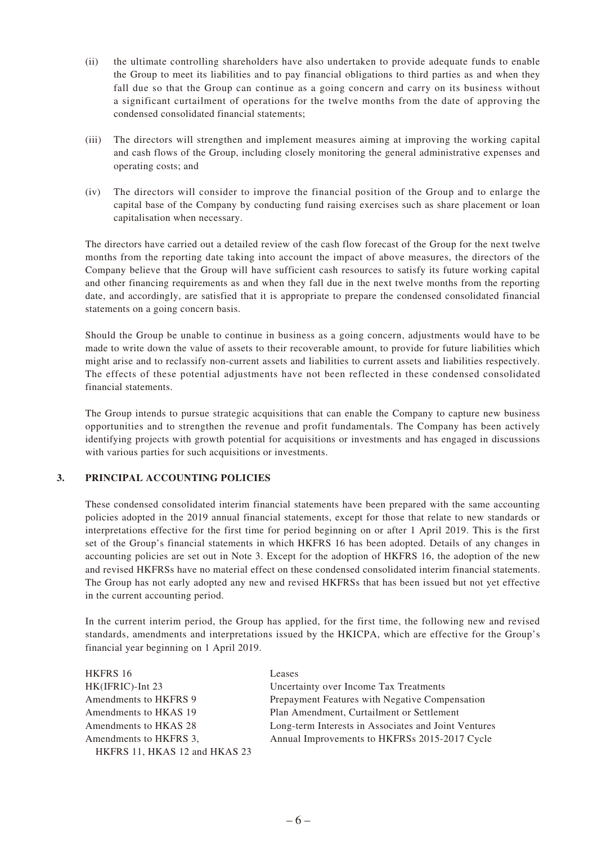- (ii) the ultimate controlling shareholders have also undertaken to provide adequate funds to enable the Group to meet its liabilities and to pay financial obligations to third parties as and when they fall due so that the Group can continue as a going concern and carry on its business without a significant curtailment of operations for the twelve months from the date of approving the condensed consolidated financial statements;
- (iii) The directors will strengthen and implement measures aiming at improving the working capital and cash flows of the Group, including closely monitoring the general administrative expenses and operating costs; and
- (iv) The directors will consider to improve the financial position of the Group and to enlarge the capital base of the Company by conducting fund raising exercises such as share placement or loan capitalisation when necessary.

The directors have carried out a detailed review of the cash flow forecast of the Group for the next twelve months from the reporting date taking into account the impact of above measures, the directors of the Company believe that the Group will have sufficient cash resources to satisfy its future working capital and other financing requirements as and when they fall due in the next twelve months from the reporting date, and accordingly, are satisfied that it is appropriate to prepare the condensed consolidated financial statements on a going concern basis.

Should the Group be unable to continue in business as a going concern, adjustments would have to be made to write down the value of assets to their recoverable amount, to provide for future liabilities which might arise and to reclassify non-current assets and liabilities to current assets and liabilities respectively. The effects of these potential adjustments have not been reflected in these condensed consolidated financial statements.

The Group intends to pursue strategic acquisitions that can enable the Company to capture new business opportunities and to strengthen the revenue and profit fundamentals. The Company has been actively identifying projects with growth potential for acquisitions or investments and has engaged in discussions with various parties for such acquisitions or investments.

#### **3. PRINCIPAL ACCOUNTING POLICIES**

These condensed consolidated interim financial statements have been prepared with the same accounting policies adopted in the 2019 annual financial statements, except for those that relate to new standards or interpretations effective for the first time for period beginning on or after 1 April 2019. This is the first set of the Group's financial statements in which HKFRS 16 has been adopted. Details of any changes in accounting policies are set out in Note 3. Except for the adoption of HKFRS 16, the adoption of the new and revised HKFRSs have no material effect on these condensed consolidated interim financial statements. The Group has not early adopted any new and revised HKFRSs that has been issued but not yet effective in the current accounting period.

In the current interim period, the Group has applied, for the first time, the following new and revised standards, amendments and interpretations issued by the HKICPA, which are effective for the Group's financial year beginning on 1 April 2019.

| HKFRS 16                      | Leases                                               |
|-------------------------------|------------------------------------------------------|
| HK(IFRIC)-Int 23              | Uncertainty over Income Tax Treatments               |
| Amendments to HKFRS 9         | Prepayment Features with Negative Compensation       |
| Amendments to HKAS 19         | Plan Amendment, Curtailment or Settlement            |
| Amendments to HKAS 28         | Long-term Interests in Associates and Joint Ventures |
| Amendments to HKFRS 3.        | Annual Improvements to HKFRSs 2015-2017 Cycle        |
| HKFRS 11, HKAS 12 and HKAS 23 |                                                      |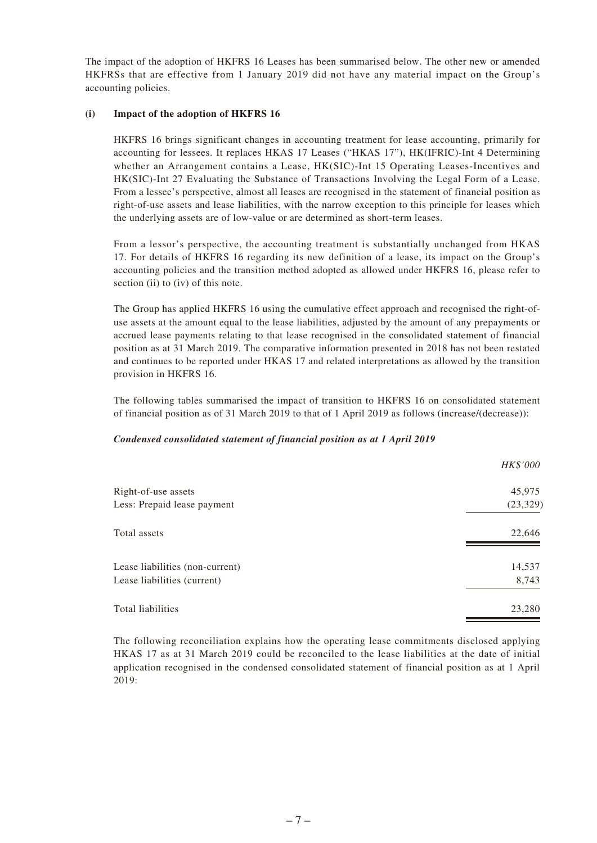The impact of the adoption of HKFRS 16 Leases has been summarised below. The other new or amended HKFRSs that are effective from 1 January 2019 did not have any material impact on the Group's accounting policies.

#### **(i) Impact of the adoption of HKFRS 16**

HKFRS 16 brings significant changes in accounting treatment for lease accounting, primarily for accounting for lessees. It replaces HKAS 17 Leases ("HKAS 17"), HK(IFRIC)-Int 4 Determining whether an Arrangement contains a Lease, HK(SIC)-Int 15 Operating Leases-Incentives and HK(SIC)-Int 27 Evaluating the Substance of Transactions Involving the Legal Form of a Lease. From a lessee's perspective, almost all leases are recognised in the statement of financial position as right-of-use assets and lease liabilities, with the narrow exception to this principle for leases which the underlying assets are of low-value or are determined as short-term leases.

From a lessor's perspective, the accounting treatment is substantially unchanged from HKAS 17. For details of HKFRS 16 regarding its new definition of a lease, its impact on the Group's accounting policies and the transition method adopted as allowed under HKFRS 16, please refer to section (ii) to (iv) of this note.

The Group has applied HKFRS 16 using the cumulative effect approach and recognised the right-ofuse assets at the amount equal to the lease liabilities, adjusted by the amount of any prepayments or accrued lease payments relating to that lease recognised in the consolidated statement of financial position as at 31 March 2019. The comparative information presented in 2018 has not been restated and continues to be reported under HKAS 17 and related interpretations as allowed by the transition provision in HKFRS 16.

The following tables summarised the impact of transition to HKFRS 16 on consolidated statement of financial position as of 31 March 2019 to that of 1 April 2019 as follows (increase/(decrease)):

#### *Condensed consolidated statement of financial position as at 1 April 2019*

|                                 | HK\$'000  |
|---------------------------------|-----------|
| Right-of-use assets             | 45,975    |
| Less: Prepaid lease payment     | (23, 329) |
| Total assets                    | 22,646    |
| Lease liabilities (non-current) | 14,537    |
| Lease liabilities (current)     | 8,743     |
| Total liabilities               | 23,280    |

The following reconciliation explains how the operating lease commitments disclosed applying HKAS 17 as at 31 March 2019 could be reconciled to the lease liabilities at the date of initial application recognised in the condensed consolidated statement of financial position as at 1 April 2019: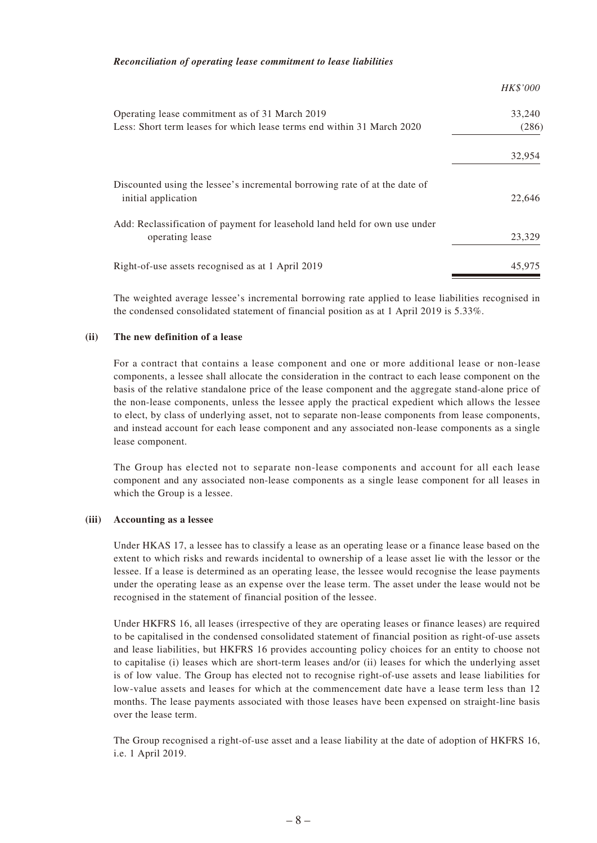#### *Reconciliation of operating lease commitment to lease liabilities*

|                                                                                                   | HK\$'000 |
|---------------------------------------------------------------------------------------------------|----------|
| Operating lease commitment as of 31 March 2019                                                    | 33,240   |
| Less: Short term leases for which lease terms end within 31 March 2020                            | (286)    |
|                                                                                                   | 32,954   |
| Discounted using the lessee's incremental borrowing rate of at the date of<br>initial application | 22.646   |
| Add: Reclassification of payment for leasehold land held for own use under<br>operating lease     | 23,329   |
| Right-of-use assets recognised as at 1 April 2019                                                 | 45,975   |

The weighted average lessee's incremental borrowing rate applied to lease liabilities recognised in the condensed consolidated statement of financial position as at 1 April 2019 is 5.33%.

#### **(ii) The new definition of a lease**

For a contract that contains a lease component and one or more additional lease or non-lease components, a lessee shall allocate the consideration in the contract to each lease component on the basis of the relative standalone price of the lease component and the aggregate stand-alone price of the non-lease components, unless the lessee apply the practical expedient which allows the lessee to elect, by class of underlying asset, not to separate non-lease components from lease components, and instead account for each lease component and any associated non-lease components as a single lease component.

The Group has elected not to separate non-lease components and account for all each lease component and any associated non-lease components as a single lease component for all leases in which the Group is a lessee.

#### **(iii) Accounting as a lessee**

Under HKAS 17, a lessee has to classify a lease as an operating lease or a finance lease based on the extent to which risks and rewards incidental to ownership of a lease asset lie with the lessor or the lessee. If a lease is determined as an operating lease, the lessee would recognise the lease payments under the operating lease as an expense over the lease term. The asset under the lease would not be recognised in the statement of financial position of the lessee.

Under HKFRS 16, all leases (irrespective of they are operating leases or finance leases) are required to be capitalised in the condensed consolidated statement of financial position as right-of-use assets and lease liabilities, but HKFRS 16 provides accounting policy choices for an entity to choose not to capitalise (i) leases which are short-term leases and/or (ii) leases for which the underlying asset is of low value. The Group has elected not to recognise right-of-use assets and lease liabilities for low-value assets and leases for which at the commencement date have a lease term less than 12 months. The lease payments associated with those leases have been expensed on straight-line basis over the lease term.

The Group recognised a right-of-use asset and a lease liability at the date of adoption of HKFRS 16, i.e. 1 April 2019.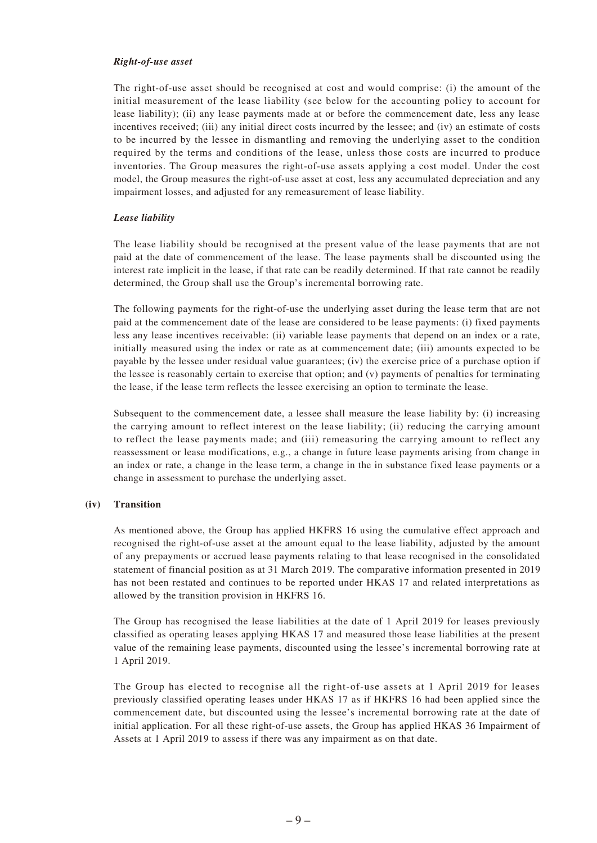#### *Right-of-use asset*

The right-of-use asset should be recognised at cost and would comprise: (i) the amount of the initial measurement of the lease liability (see below for the accounting policy to account for lease liability); (ii) any lease payments made at or before the commencement date, less any lease incentives received; (iii) any initial direct costs incurred by the lessee; and (iv) an estimate of costs to be incurred by the lessee in dismantling and removing the underlying asset to the condition required by the terms and conditions of the lease, unless those costs are incurred to produce inventories. The Group measures the right-of-use assets applying a cost model. Under the cost model, the Group measures the right-of-use asset at cost, less any accumulated depreciation and any impairment losses, and adjusted for any remeasurement of lease liability.

#### *Lease liability*

The lease liability should be recognised at the present value of the lease payments that are not paid at the date of commencement of the lease. The lease payments shall be discounted using the interest rate implicit in the lease, if that rate can be readily determined. If that rate cannot be readily determined, the Group shall use the Group's incremental borrowing rate.

The following payments for the right-of-use the underlying asset during the lease term that are not paid at the commencement date of the lease are considered to be lease payments: (i) fixed payments less any lease incentives receivable: (ii) variable lease payments that depend on an index or a rate, initially measured using the index or rate as at commencement date; (iii) amounts expected to be payable by the lessee under residual value guarantees; (iv) the exercise price of a purchase option if the lessee is reasonably certain to exercise that option; and (v) payments of penalties for terminating the lease, if the lease term reflects the lessee exercising an option to terminate the lease.

Subsequent to the commencement date, a lessee shall measure the lease liability by: (i) increasing the carrying amount to reflect interest on the lease liability; (ii) reducing the carrying amount to reflect the lease payments made; and (iii) remeasuring the carrying amount to reflect any reassessment or lease modifications, e.g., a change in future lease payments arising from change in an index or rate, a change in the lease term, a change in the in substance fixed lease payments or a change in assessment to purchase the underlying asset.

#### **(iv) Transition**

As mentioned above, the Group has applied HKFRS 16 using the cumulative effect approach and recognised the right-of-use asset at the amount equal to the lease liability, adjusted by the amount of any prepayments or accrued lease payments relating to that lease recognised in the consolidated statement of financial position as at 31 March 2019. The comparative information presented in 2019 has not been restated and continues to be reported under HKAS 17 and related interpretations as allowed by the transition provision in HKFRS 16.

The Group has recognised the lease liabilities at the date of 1 April 2019 for leases previously classified as operating leases applying HKAS 17 and measured those lease liabilities at the present value of the remaining lease payments, discounted using the lessee's incremental borrowing rate at 1 April 2019.

The Group has elected to recognise all the right-of-use assets at 1 April 2019 for leases previously classified operating leases under HKAS 17 as if HKFRS 16 had been applied since the commencement date, but discounted using the lessee's incremental borrowing rate at the date of initial application. For all these right-of-use assets, the Group has applied HKAS 36 Impairment of Assets at 1 April 2019 to assess if there was any impairment as on that date.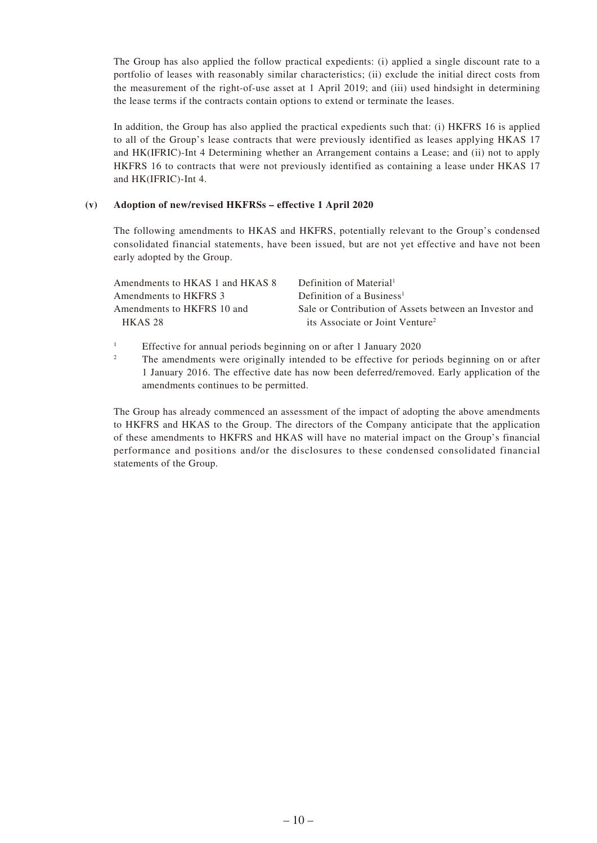The Group has also applied the follow practical expedients: (i) applied a single discount rate to a portfolio of leases with reasonably similar characteristics; (ii) exclude the initial direct costs from the measurement of the right-of-use asset at 1 April 2019; and (iii) used hindsight in determining the lease terms if the contracts contain options to extend or terminate the leases.

In addition, the Group has also applied the practical expedients such that: (i) HKFRS 16 is applied to all of the Group's lease contracts that were previously identified as leases applying HKAS 17 and HK(IFRIC)-Int 4 Determining whether an Arrangement contains a Lease; and (ii) not to apply HKFRS 16 to contracts that were not previously identified as containing a lease under HKAS 17 and HK(IFRIC)-Int 4.

#### **(v) Adoption of new/revised HKFRSs – effective 1 April 2020**

The following amendments to HKAS and HKFRS, potentially relevant to the Group's condensed consolidated financial statements, have been issued, but are not yet effective and have not been early adopted by the Group.

| Amendments to HKAS 1 and HKAS 8 | Definition of Material <sup>1</sup>                    |
|---------------------------------|--------------------------------------------------------|
| Amendments to HKFRS 3           | Definition of a Business <sup>1</sup>                  |
| Amendments to HKFRS 10 and      | Sale or Contribution of Assets between an Investor and |
| HKAS <sub>28</sub>              | its Associate or Joint Venture <sup>2</sup>            |
|                                 |                                                        |

<sup>1</sup> Effective for annual periods beginning on or after 1 January 2020

<sup>2</sup> The amendments were originally intended to be effective for periods beginning on or after 1 January 2016. The effective date has now been deferred/removed. Early application of the amendments continues to be permitted.

The Group has already commenced an assessment of the impact of adopting the above amendments to HKFRS and HKAS to the Group. The directors of the Company anticipate that the application of these amendments to HKFRS and HKAS will have no material impact on the Group's financial performance and positions and/or the disclosures to these condensed consolidated financial statements of the Group.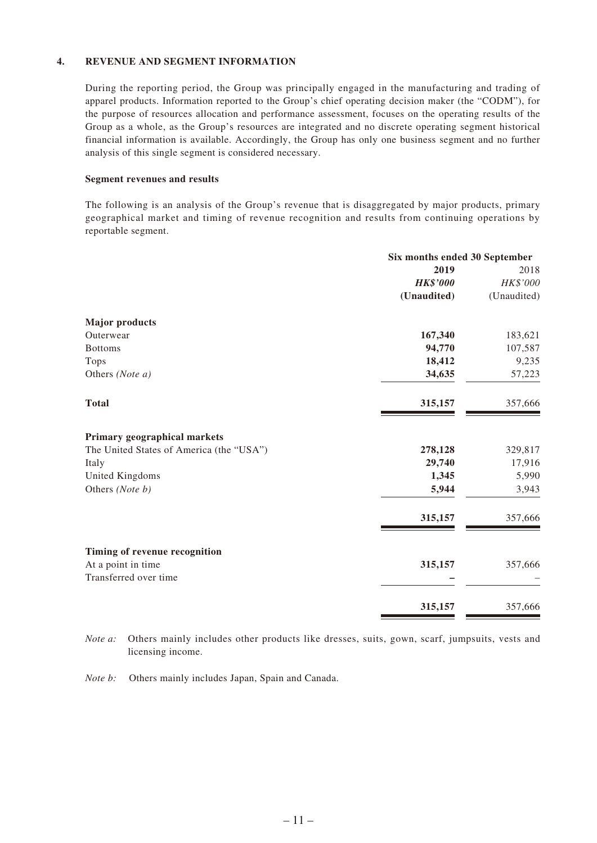#### **4. REVENUE AND SEGMENT INFORMATION**

During the reporting period, the Group was principally engaged in the manufacturing and trading of apparel products. Information reported to the Group's chief operating decision maker (the "CODM"), for the purpose of resources allocation and performance assessment, focuses on the operating results of the Group as a whole, as the Group's resources are integrated and no discrete operating segment historical financial information is available. Accordingly, the Group has only one business segment and no further analysis of this single segment is considered necessary.

#### **Segment revenues and results**

The following is an analysis of the Group's revenue that is disaggregated by major products, primary geographical market and timing of revenue recognition and results from continuing operations by reportable segment.

|                                          | Six months ended 30 September |             |
|------------------------------------------|-------------------------------|-------------|
|                                          | 2019                          | 2018        |
|                                          | <b>HK\$'000</b>               | HK\$'000    |
|                                          | (Unaudited)                   | (Unaudited) |
| <b>Major products</b>                    |                               |             |
| Outerwear                                | 167,340                       | 183,621     |
| <b>Bottoms</b>                           | 94,770                        | 107,587     |
| <b>Tops</b>                              | 18,412                        | 9,235       |
| Others (Note a)                          | 34,635                        | 57,223      |
| <b>Total</b>                             | 315,157                       | 357,666     |
| Primary geographical markets             |                               |             |
| The United States of America (the "USA") | 278,128                       | 329,817     |
| Italy                                    | 29,740                        | 17,916      |
| United Kingdoms                          | 1,345                         | 5,990       |
| Others (Note b)                          | 5,944                         | 3,943       |
|                                          | 315,157                       | 357,666     |
| Timing of revenue recognition            |                               |             |
| At a point in time                       | 315,157                       | 357,666     |
| Transferred over time                    |                               |             |
|                                          | 315,157                       | 357,666     |

*Note a:* Others mainly includes other products like dresses, suits, gown, scarf, jumpsuits, vests and licensing income.

*Note b:* Others mainly includes Japan, Spain and Canada.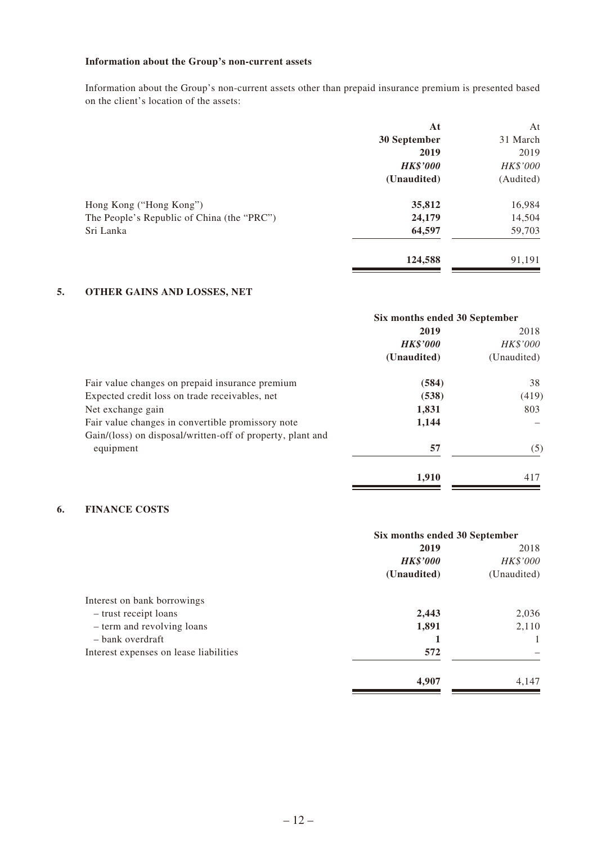#### **Information about the Group's non-current assets**

Information about the Group's non-current assets other than prepaid insurance premium is presented based on the client's location of the assets:

|                                            | At              | At        |
|--------------------------------------------|-----------------|-----------|
|                                            | 30 September    | 31 March  |
|                                            | 2019            | 2019      |
|                                            | <b>HK\$'000</b> | HK\$'000  |
|                                            | (Unaudited)     | (Audited) |
| Hong Kong ("Hong Kong")                    | 35,812          | 16,984    |
| The People's Republic of China (the "PRC") | 24,179          | 14,504    |
| Sri Lanka                                  | 64,597          | 59,703    |
|                                            | 124,588         | 91,191    |
|                                            |                 |           |

#### **5. OTHER GAINS AND LOSSES, NET**

|                                                            | Six months ended 30 September |                 |
|------------------------------------------------------------|-------------------------------|-----------------|
|                                                            | 2019                          | 2018            |
|                                                            | <b>HK\$'000</b>               | <b>HK\$'000</b> |
|                                                            | (Unaudited)                   | (Unaudited)     |
| Fair value changes on prepaid insurance premium            | (584)                         | 38              |
| Expected credit loss on trade receivables, net             | (538)                         | (419)           |
| Net exchange gain                                          | 1,831                         | 803             |
| Fair value changes in convertible promissory note          | 1,144                         |                 |
| Gain/(loss) on disposal/written-off of property, plant and |                               |                 |
| equipment                                                  | 57                            | (5)             |
|                                                            | 1,910                         | 417             |

#### **6. FINANCE COSTS**

|                                        | Six months ended 30 September |             |
|----------------------------------------|-------------------------------|-------------|
|                                        | 2019                          | 2018        |
|                                        | <b>HK\$'000</b>               | HK\$'000    |
|                                        | (Unaudited)                   | (Unaudited) |
| Interest on bank borrowings            |                               |             |
| - trust receipt loans                  | 2,443                         | 2,036       |
| - term and revolving loans             | 1,891                         | 2,110       |
| - bank overdraft                       |                               |             |
| Interest expenses on lease liabilities | 572                           |             |
|                                        | 4,907                         | 4,147       |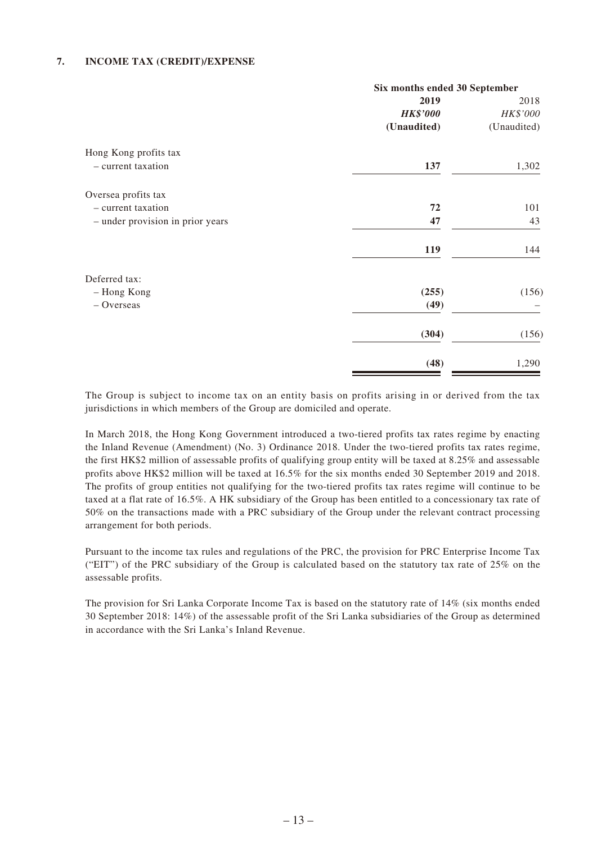#### **7. INCOME TAX (CREDIT)/EXPENSE**

|                                  | Six months ended 30 September |             |
|----------------------------------|-------------------------------|-------------|
|                                  | 2019                          | 2018        |
|                                  | <b>HK\$'000</b>               | HK\$'000    |
|                                  | (Unaudited)                   | (Unaudited) |
| Hong Kong profits tax            |                               |             |
| - current taxation               | 137                           | 1,302       |
| Oversea profits tax              |                               |             |
| - current taxation               | 72                            | 101         |
| - under provision in prior years | 47                            | 43          |
|                                  | 119                           | 144         |
| Deferred tax:                    |                               |             |
| - Hong Kong                      | (255)                         | (156)       |
| $-$ Overseas                     | (49)                          |             |
|                                  | (304)                         | (156)       |
|                                  | (48)                          | 1,290       |

The Group is subject to income tax on an entity basis on profits arising in or derived from the tax jurisdictions in which members of the Group are domiciled and operate.

In March 2018, the Hong Kong Government introduced a two-tiered profits tax rates regime by enacting the Inland Revenue (Amendment) (No. 3) Ordinance 2018. Under the two-tiered profits tax rates regime, the first HK\$2 million of assessable profits of qualifying group entity will be taxed at 8.25% and assessable profits above HK\$2 million will be taxed at 16.5% for the six months ended 30 September 2019 and 2018. The profits of group entities not qualifying for the two-tiered profits tax rates regime will continue to be taxed at a flat rate of 16.5%. A HK subsidiary of the Group has been entitled to a concessionary tax rate of 50% on the transactions made with a PRC subsidiary of the Group under the relevant contract processing arrangement for both periods.

Pursuant to the income tax rules and regulations of the PRC, the provision for PRC Enterprise Income Tax ("EIT") of the PRC subsidiary of the Group is calculated based on the statutory tax rate of 25% on the assessable profits.

The provision for Sri Lanka Corporate Income Tax is based on the statutory rate of 14% (six months ended 30 September 2018: 14%) of the assessable profit of the Sri Lanka subsidiaries of the Group as determined in accordance with the Sri Lanka's Inland Revenue.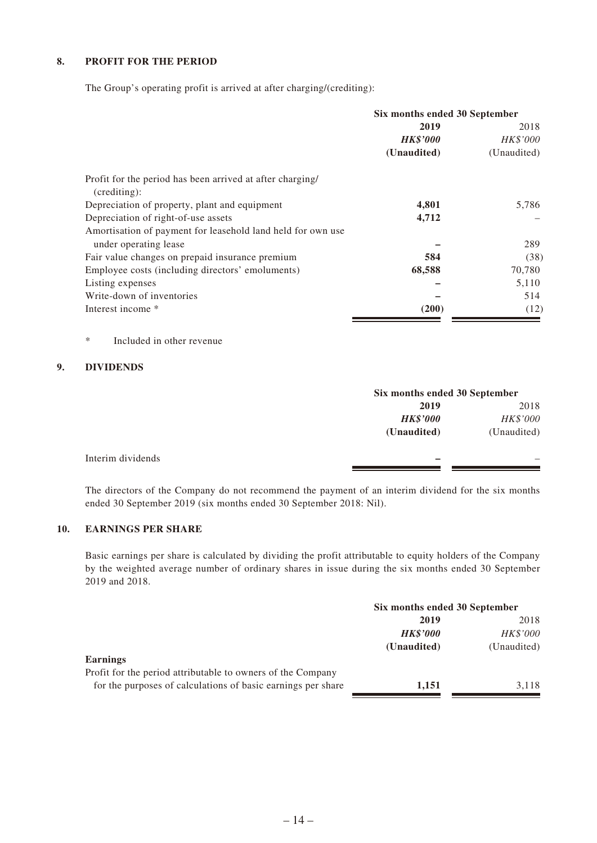#### **8. PROFIT FOR THE PERIOD**

The Group's operating profit is arrived at after charging/(crediting):

|                                                                           | Six months ended 30 September |             |  |
|---------------------------------------------------------------------------|-------------------------------|-------------|--|
|                                                                           | 2019                          | 2018        |  |
|                                                                           | <b>HK\$'000</b>               | HK\$'000    |  |
|                                                                           | (Unaudited)                   | (Unaudited) |  |
| Profit for the period has been arrived at after charging/<br>(crediting): |                               |             |  |
| Depreciation of property, plant and equipment                             | 4,801                         | 5,786       |  |
| Depreciation of right-of-use assets                                       | 4,712                         |             |  |
| Amortisation of payment for leasehold land held for own use               |                               |             |  |
| under operating lease                                                     |                               | 289         |  |
| Fair value changes on prepaid insurance premium                           | 584                           | (38)        |  |
| Employee costs (including directors' emoluments)                          | 68,588                        | 70,780      |  |
| Listing expenses                                                          |                               | 5,110       |  |
| Write-down of inventories                                                 |                               | 514         |  |
| Interest income *                                                         | (200)                         | (12)        |  |

\* Included in other revenue

#### **9. DIVIDENDS**

|                   |                 | Six months ended 30 September |  |
|-------------------|-----------------|-------------------------------|--|
|                   | 2019            | 2018                          |  |
|                   | <b>HK\$'000</b> | HK\$'000                      |  |
|                   | (Unaudited)     | (Unaudited)                   |  |
| Interim dividends |                 |                               |  |
|                   |                 |                               |  |

The directors of the Company do not recommend the payment of an interim dividend for the six months ended 30 September 2019 (six months ended 30 September 2018: Nil).

#### **10. EARNINGS PER SHARE**

Basic earnings per share is calculated by dividing the profit attributable to equity holders of the Company by the weighted average number of ordinary shares in issue during the six months ended 30 September 2019 and 2018.

|                                                              | Six months ended 30 September |             |
|--------------------------------------------------------------|-------------------------------|-------------|
|                                                              | 2019                          |             |
|                                                              | <b>HK\$'000</b>               | HK\$'000    |
|                                                              | (Unaudited)                   | (Unaudited) |
| <b>Earnings</b>                                              |                               |             |
| Profit for the period attributable to owners of the Company  |                               |             |
| for the purposes of calculations of basic earnings per share | 1.151                         | 3.118       |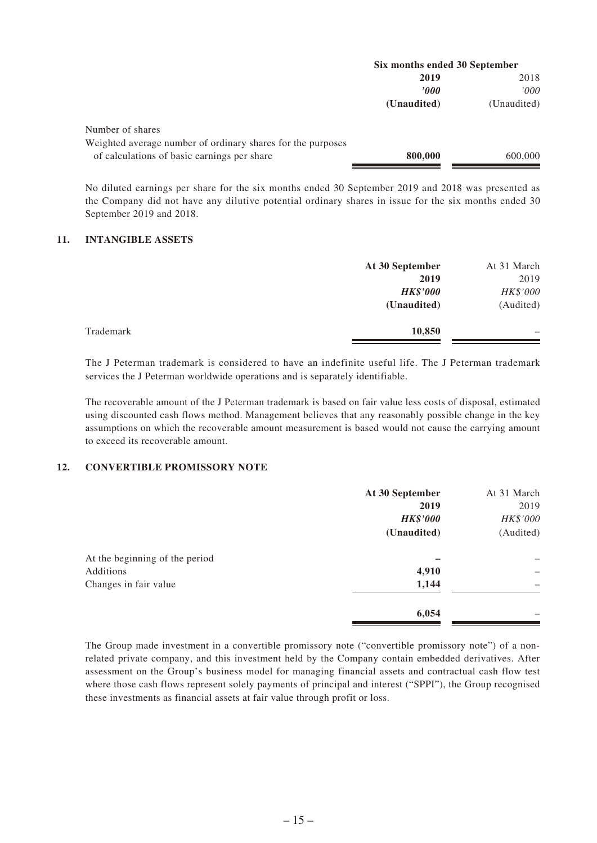|                                                             | Six months ended 30 September |             |
|-------------------------------------------------------------|-------------------------------|-------------|
|                                                             | 2019                          | 2018        |
|                                                             | 2000                          | '000        |
|                                                             | (Unaudited)                   | (Unaudited) |
| Number of shares                                            |                               |             |
| Weighted average number of ordinary shares for the purposes |                               |             |
| of calculations of basic earnings per share                 | 800,000                       | 600,000     |

No diluted earnings per share for the six months ended 30 September 2019 and 2018 was presented as the Company did not have any dilutive potential ordinary shares in issue for the six months ended 30 September 2019 and 2018.

#### **11. INTANGIBLE ASSETS**

|           | At 30 September | At 31 March |
|-----------|-----------------|-------------|
|           | 2019            | 2019        |
|           | <b>HK\$'000</b> | HK\$'000    |
|           | (Unaudited)     | (Audited)   |
| Trademark | 10,850          | -           |

The J Peterman trademark is considered to have an indefinite useful life. The J Peterman trademark services the J Peterman worldwide operations and is separately identifiable.

The recoverable amount of the J Peterman trademark is based on fair value less costs of disposal, estimated using discounted cash flows method. Management believes that any reasonably possible change in the key assumptions on which the recoverable amount measurement is based would not cause the carrying amount to exceed its recoverable amount.

#### **12. CONVERTIBLE PROMISSORY NOTE**

|                                | At 30 September | At 31 March |
|--------------------------------|-----------------|-------------|
|                                | 2019            | 2019        |
|                                | <b>HK\$'000</b> | HK\$'000    |
|                                | (Unaudited)     | (Audited)   |
| At the beginning of the period |                 |             |
| Additions                      | 4,910           | -           |
| Changes in fair value          | 1,144           |             |
|                                | 6,054           |             |

The Group made investment in a convertible promissory note ("convertible promissory note") of a nonrelated private company, and this investment held by the Company contain embedded derivatives. After assessment on the Group's business model for managing financial assets and contractual cash flow test where those cash flows represent solely payments of principal and interest ("SPPI"), the Group recognised these investments as financial assets at fair value through profit or loss.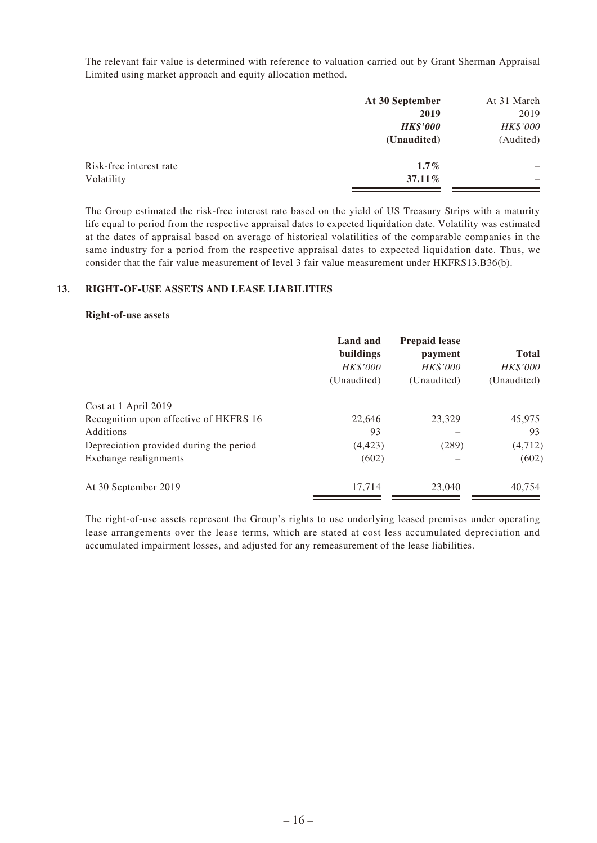The relevant fair value is determined with reference to valuation carried out by Grant Sherman Appraisal Limited using market approach and equity allocation method.

|                         | At 30 September | At 31 March |
|-------------------------|-----------------|-------------|
|                         | 2019            | 2019        |
|                         | <b>HK\$'000</b> | HK\$'000    |
|                         | (Unaudited)     | (Audited)   |
| Risk-free interest rate | $1.7\%$         |             |
| Volatility              | $37.11\%$       | -           |
|                         |                 |             |

The Group estimated the risk-free interest rate based on the yield of US Treasury Strips with a maturity life equal to period from the respective appraisal dates to expected liquidation date. Volatility was estimated at the dates of appraisal based on average of historical volatilities of the comparable companies in the same industry for a period from the respective appraisal dates to expected liquidation date. Thus, we consider that the fair value measurement of level 3 fair value measurement under HKFRS13.B36(b).

#### **13. RIGHT-OF-USE ASSETS AND LEASE LIABILITIES**

#### **Right-of-use assets**

|                                         | Land and<br>buildings<br>HK\$'000<br>(Unaudited) | <b>Prepaid lease</b><br>payment<br><b>HK\$'000</b><br>(Unaudited) | <b>Total</b><br>HK\$'000<br>(Unaudited) |
|-----------------------------------------|--------------------------------------------------|-------------------------------------------------------------------|-----------------------------------------|
| Cost at 1 April 2019                    |                                                  |                                                                   |                                         |
| Recognition upon effective of HKFRS 16  | 22,646                                           | 23,329                                                            | 45,975                                  |
| Additions                               | 93                                               |                                                                   | 93                                      |
| Depreciation provided during the period | (4, 423)                                         | (289)                                                             | (4, 712)                                |
| Exchange realignments                   | (602)                                            |                                                                   | (602)                                   |
| At 30 September 2019                    | 17,714                                           | 23,040                                                            | 40,754                                  |

The right-of-use assets represent the Group's rights to use underlying leased premises under operating lease arrangements over the lease terms, which are stated at cost less accumulated depreciation and accumulated impairment losses, and adjusted for any remeasurement of the lease liabilities.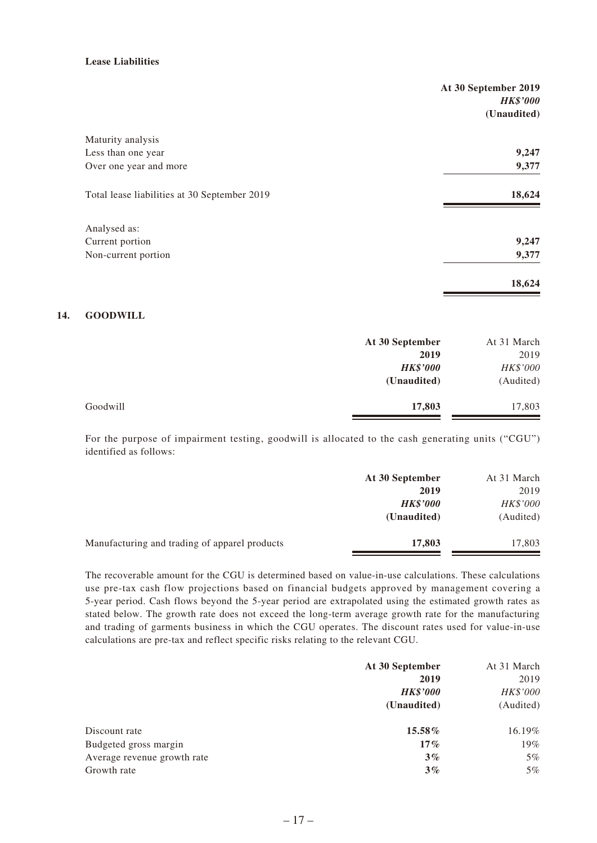#### **Lease Liabilities**

|                                              | At 30 September 2019<br><b>HK\$'000</b> |
|----------------------------------------------|-----------------------------------------|
|                                              | (Unaudited)                             |
| Maturity analysis                            |                                         |
| Less than one year                           | 9,247                                   |
| Over one year and more                       | 9,377                                   |
| Total lease liabilities at 30 September 2019 | 18,624                                  |
| Analysed as:                                 |                                         |
| Current portion                              | 9,247                                   |
| Non-current portion                          | 9,377                                   |
|                                              | 18,624                                  |

#### **14. GOODWILL**

|          | At 30 September | At 31 March |
|----------|-----------------|-------------|
|          | 2019            | 2019        |
|          | <b>HK\$'000</b> | HK\$'000    |
|          | (Unaudited)     | (Audited)   |
| Goodwill | 17,803          | 17,803      |

For the purpose of impairment testing, goodwill is allocated to the cash generating units ("CGU") identified as follows:

|                                               | At 30 September | At 31 March |  |
|-----------------------------------------------|-----------------|-------------|--|
|                                               | 2019            | 2019        |  |
|                                               | <b>HK\$'000</b> | HK\$'000    |  |
|                                               | (Unaudited)     | (Audited)   |  |
| Manufacturing and trading of apparel products | 17,803          | 17,803      |  |

The recoverable amount for the CGU is determined based on value-in-use calculations. These calculations use pre-tax cash flow projections based on financial budgets approved by management covering a 5-year period. Cash flows beyond the 5-year period are extrapolated using the estimated growth rates as stated below. The growth rate does not exceed the long-term average growth rate for the manufacturing and trading of garments business in which the CGU operates. The discount rates used for value-in-use calculations are pre-tax and reflect specific risks relating to the relevant CGU.

|                             | At 30 September | At 31 March |
|-----------------------------|-----------------|-------------|
|                             | 2019            | 2019        |
|                             | <b>HK\$'000</b> | HK\$'000    |
|                             | (Unaudited)     | (Audited)   |
| Discount rate               | 15.58%          | 16.19%      |
| Budgeted gross margin       | $17\%$          | 19%         |
| Average revenue growth rate | 3%              | 5%          |
| Growth rate                 | $3\%$           | 5%          |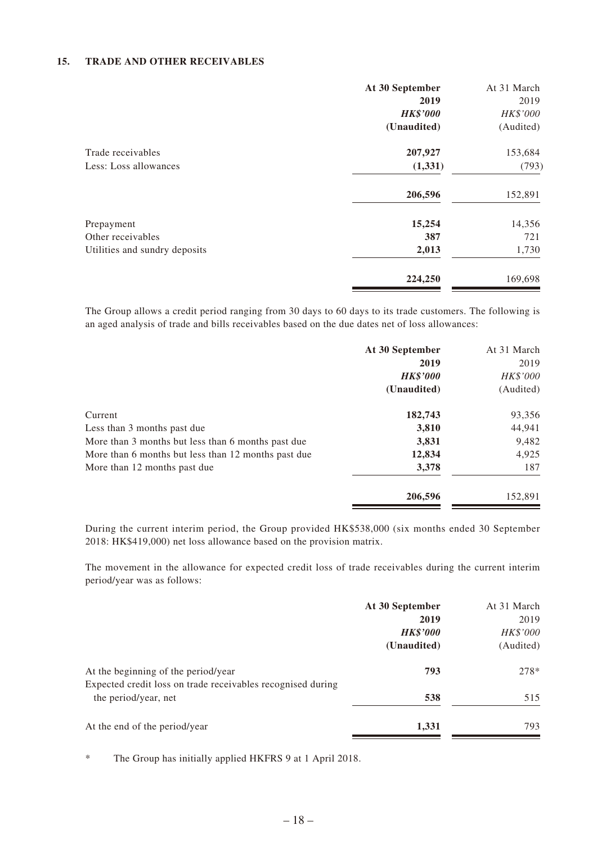#### **15. TRADE AND OTHER RECEIVABLES**

|                               | At 30 September<br>2019 | At 31 March<br>2019 |
|-------------------------------|-------------------------|---------------------|
|                               | <b>HK\$'000</b>         | HK\$'000            |
|                               | (Unaudited)             | (Audited)           |
| Trade receivables             | 207,927                 | 153,684             |
| Less: Loss allowances         | (1, 331)                | (793)               |
|                               | 206,596                 | 152,891             |
| Prepayment                    | 15,254                  | 14,356              |
| Other receivables             | 387                     | 721                 |
| Utilities and sundry deposits | 2,013                   | 1,730               |
|                               | 224,250                 | 169,698             |

The Group allows a credit period ranging from 30 days to 60 days to its trade customers. The following is an aged analysis of trade and bills receivables based on the due dates net of loss allowances:

| At 30 September | At 31 March |
|-----------------|-------------|
| 2019            | 2019        |
| <b>HK\$'000</b> | HK\$'000    |
| (Unaudited)     | (Audited)   |
| 182,743         | 93,356      |
| 3,810           | 44,941      |
| 3,831           | 9,482       |
| 12,834          | 4,925       |
| 3,378           | 187         |
| 206,596         | 152,891     |
|                 |             |

During the current interim period, the Group provided HK\$538,000 (six months ended 30 September 2018: HK\$419,000) net loss allowance based on the provision matrix.

The movement in the allowance for expected credit loss of trade receivables during the current interim period/year was as follows:

|                                                                                                    | At 30 September | At 31 March |
|----------------------------------------------------------------------------------------------------|-----------------|-------------|
|                                                                                                    | 2019            | 2019        |
|                                                                                                    | <b>HK\$'000</b> | HK\$'000    |
|                                                                                                    | (Unaudited)     | (Audited)   |
| At the beginning of the period/year<br>Expected credit loss on trade receivables recognised during | 793             | 278*        |
| the period/year, net                                                                               | 538             | 515         |
| At the end of the period/year                                                                      | 1,331           | 793         |
|                                                                                                    |                 |             |

\* The Group has initially applied HKFRS 9 at 1 April 2018.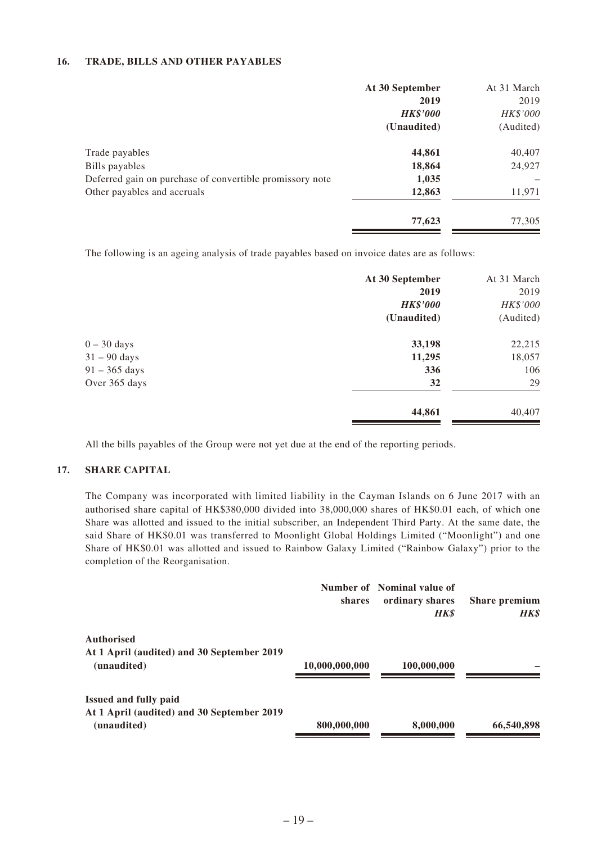#### **16. TRADE, BILLS AND OTHER PAYABLES**

|                                                          | At 30 September | At 31 March |
|----------------------------------------------------------|-----------------|-------------|
|                                                          | 2019            | 2019        |
|                                                          | <b>HK\$'000</b> | HK\$'000    |
|                                                          | (Unaudited)     | (Audited)   |
| Trade payables                                           | 44,861          | 40,407      |
| Bills payables                                           | 18,864          | 24,927      |
| Deferred gain on purchase of convertible promissory note | 1,035           |             |
| Other payables and accruals                              | 12,863          | 11,971      |
|                                                          | 77,623          | 77,305      |

The following is an ageing analysis of trade payables based on invoice dates are as follows:

| At 30 September | At 31 March |
|-----------------|-------------|
| 2019            | 2019        |
| <b>HK\$'000</b> | HK\$'000    |
| (Unaudited)     | (Audited)   |
| 33,198          | 22,215      |
| 11,295          | 18,057      |
| 336             | 106         |
| 32              | 29          |
| 44,861          | 40,407      |
|                 |             |

All the bills payables of the Group were not yet due at the end of the reporting periods.

#### **17. SHARE CAPITAL**

The Company was incorporated with limited liability in the Cayman Islands on 6 June 2017 with an authorised share capital of HK\$380,000 divided into 38,000,000 shares of HK\$0.01 each, of which one Share was allotted and issued to the initial subscriber, an Independent Third Party. At the same date, the said Share of HK\$0.01 was transferred to Moonlight Global Holdings Limited ("Moonlight") and one Share of HK\$0.01 was allotted and issued to Rainbow Galaxy Limited ("Rainbow Galaxy") prior to the completion of the Reorganisation.

|                                                                 | <b>shares</b>  | Number of Nominal value of<br>ordinary shares<br><b>HK\$</b> | Share premium<br><b>HK\$</b> |
|-----------------------------------------------------------------|----------------|--------------------------------------------------------------|------------------------------|
| <b>Authorised</b><br>At 1 April (audited) and 30 September 2019 |                |                                                              |                              |
| (unaudited)                                                     | 10,000,000,000 | 100,000,000                                                  |                              |
| <b>Issued and fully paid</b>                                    |                |                                                              |                              |
| At 1 April (audited) and 30 September 2019<br>(unaudited)       | 800,000,000    | 8,000,000                                                    | 66,540,898                   |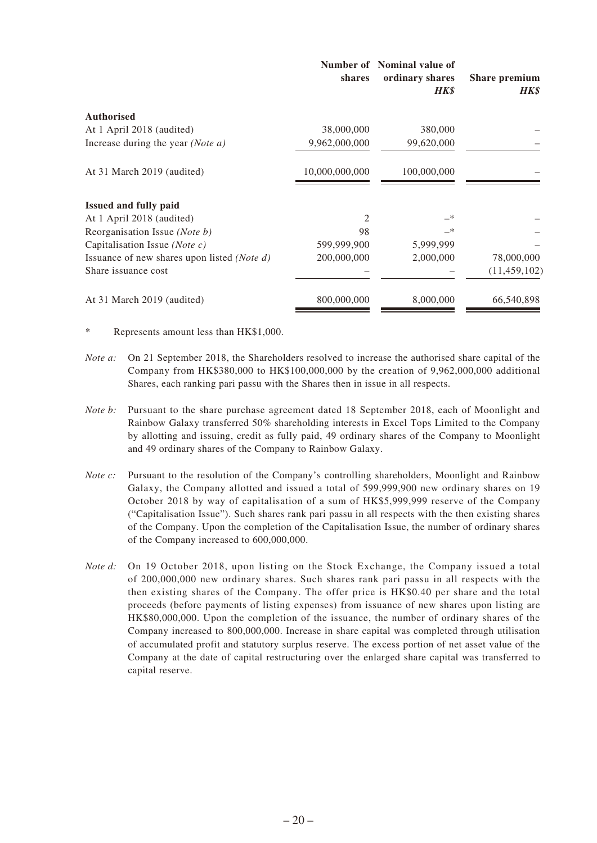|                                                      | shares         | Number of Nominal value of<br>ordinary shares<br><b>HK\$</b> | Share premium<br><b>HK\$</b> |
|------------------------------------------------------|----------------|--------------------------------------------------------------|------------------------------|
| <b>Authorised</b>                                    |                |                                                              |                              |
| At 1 April 2018 (audited)                            | 38,000,000     | 380,000                                                      |                              |
| Increase during the year (Note a)                    | 9,962,000,000  | 99,620,000                                                   |                              |
| At 31 March 2019 (audited)                           | 10,000,000,000 | 100,000,000                                                  |                              |
| <b>Issued and fully paid</b>                         |                |                                                              |                              |
| At 1 April 2018 (audited)                            | $\mathfrak{D}$ | —*                                                           |                              |
| Reorganisation Issue ( <i>Note b</i> )               | 98             | —*                                                           |                              |
| Capitalisation Issue (Note c)                        | 599,999,900    | 5,999,999                                                    |                              |
| Issuance of new shares upon listed ( <i>Note d</i> ) | 200,000,000    | 2,000,000                                                    | 78,000,000                   |
| Share issuance cost                                  |                |                                                              | (11, 459, 102)               |
| At 31 March 2019 (audited)                           | 800,000,000    | 8,000,000                                                    | 66,540,898                   |

Represents amount less than HK\$1,000.

- *Note a*: On 21 September 2018, the Shareholders resolved to increase the authorised share capital of the Company from HK\$380,000 to HK\$100,000,000 by the creation of 9,962,000,000 additional Shares, each ranking pari passu with the Shares then in issue in all respects.
- *Note b:* Pursuant to the share purchase agreement dated 18 September 2018, each of Moonlight and Rainbow Galaxy transferred 50% shareholding interests in Excel Tops Limited to the Company by allotting and issuing, credit as fully paid, 49 ordinary shares of the Company to Moonlight and 49 ordinary shares of the Company to Rainbow Galaxy.
- *Note c:* Pursuant to the resolution of the Company's controlling shareholders, Moonlight and Rainbow Galaxy, the Company allotted and issued a total of 599,999,900 new ordinary shares on 19 October 2018 by way of capitalisation of a sum of HK\$5,999,999 reserve of the Company ("Capitalisation Issue"). Such shares rank pari passu in all respects with the then existing shares of the Company. Upon the completion of the Capitalisation Issue, the number of ordinary shares of the Company increased to 600,000,000.
- *Note d:* On 19 October 2018, upon listing on the Stock Exchange, the Company issued a total of 200,000,000 new ordinary shares. Such shares rank pari passu in all respects with the then existing shares of the Company. The offer price is HK\$0.40 per share and the total proceeds (before payments of listing expenses) from issuance of new shares upon listing are HK\$80,000,000. Upon the completion of the issuance, the number of ordinary shares of the Company increased to 800,000,000. Increase in share capital was completed through utilisation of accumulated profit and statutory surplus reserve. The excess portion of net asset value of the Company at the date of capital restructuring over the enlarged share capital was transferred to capital reserve.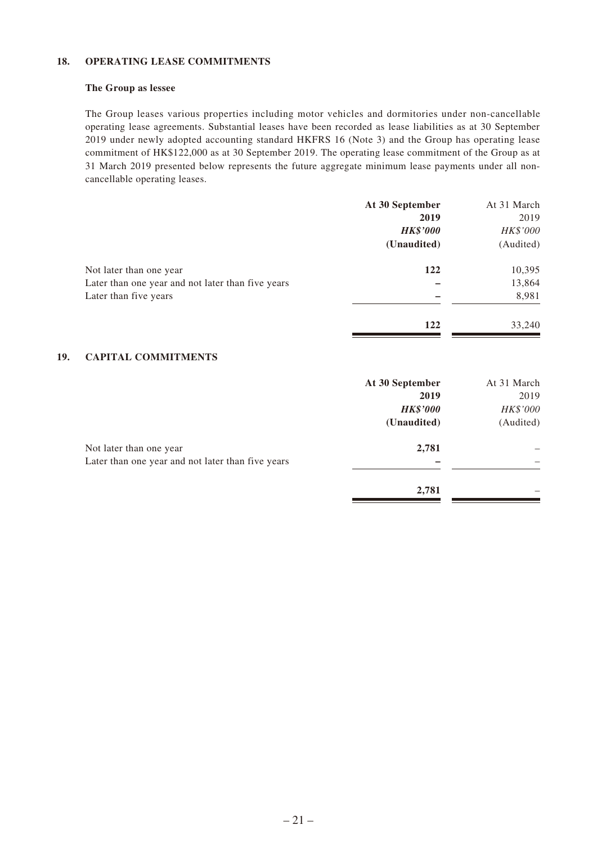#### **18. OPERATING LEASE COMMITMENTS**

#### **The Group as lessee**

The Group leases various properties including motor vehicles and dormitories under non-cancellable operating lease agreements. Substantial leases have been recorded as lease liabilities as at 30 September 2019 under newly adopted accounting standard HKFRS 16 (Note 3) and the Group has operating lease commitment of HK\$122,000 as at 30 September 2019. The operating lease commitment of the Group as at 31 March 2019 presented below represents the future aggregate minimum lease payments under all noncancellable operating leases.

|                                                   | At 30 September | At 31 March |
|---------------------------------------------------|-----------------|-------------|
|                                                   | 2019            | 2019        |
|                                                   | <b>HK\$'000</b> | HK\$'000    |
|                                                   | (Unaudited)     | (Audited)   |
| Not later than one year                           | 122             | 10,395      |
| Later than one year and not later than five years |                 | 13,864      |
| Later than five years                             |                 | 8,981       |
|                                                   | 122             | 33,240      |

#### **19. CAPITAL COMMITMENTS**

|                                                   | At 30 September | At 31 March |
|---------------------------------------------------|-----------------|-------------|
|                                                   | 2019            | 2019        |
|                                                   | <b>HK\$'000</b> | HK\$'000    |
|                                                   | (Unaudited)     | (Audited)   |
| Not later than one year                           | 2,781           |             |
| Later than one year and not later than five years |                 |             |
|                                                   | 2,781           |             |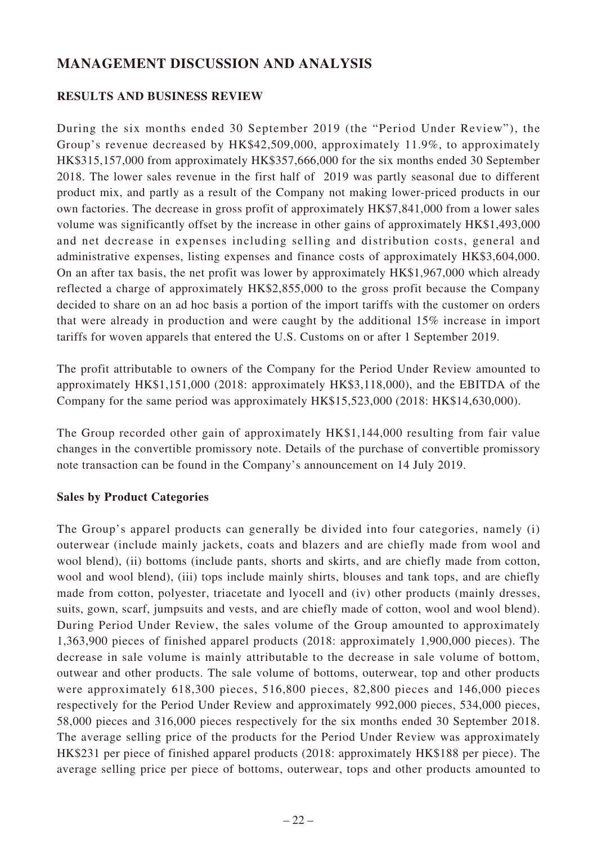# **MANAGEMENT DISCUSSION AND ANALYSIS**

# **RESULTS AND BUSINESS REVIEW**

During the six months ended 30 September 2019 (the "Period Under Review"), the Group's revenue decreased by HK\$42,509,000, approximately 11.9%, to approximately HK\$315,157,000 from approximately HK\$357,666,000 for the six months ended 30 September 2018. The lower sales revenue in the first half of 2019 was partly seasonal due to different product mix, and partly as a result of the Company not making lower-priced products in our own factories. The decrease in gross profit of approximately HK\$7,841,000 from a lower sales volume was significantly offset by the increase in other gains of approximately HK\$1,493,000 and net decrease in expenses including selling and distribution costs, general and administrative expenses, listing expenses and finance costs of approximately HK\$3,604,000. On an after tax basis, the net profit was lower by approximately HK\$1,967,000 which already reflected a charge of approximately HK\$2,855,000 to the gross profit because the Company decided to share on an ad hoc basis a portion of the import tariffs with the customer on orders that were already in production and were caught by the additional 15% increase in import tariffs for woven apparels that entered the U.S. Customs on or after 1 September 2019.

The profit attributable to owners of the Company for the Period Under Review amounted to approximately HK\$1,151,000 (2018: approximately HK\$3,118,000), and the EBITDA of the Company for the same period was approximately HK\$15,523,000 (2018: HK\$14,630,000).

The Group recorded other gain of approximately HK\$1,144,000 resulting from fair value changes in the convertible promissory note. Details of the purchase of convertible promissory note transaction can be found in the Company's announcement on 14 July 2019.

### **Sales by Product Categories**

The Group's apparel products can generally be divided into four categories, namely (i) outerwear (include mainly jackets, coats and blazers and are chiefly made from wool and wool blend), (ii) bottoms (include pants, shorts and skirts, and are chiefly made from cotton, wool and wool blend), (iii) tops include mainly shirts, blouses and tank tops, and are chiefly made from cotton, polyester, triacetate and lyocell and (iv) other products (mainly dresses, suits, gown, scarf, jumpsuits and vests, and are chiefly made of cotton, wool and wool blend). During Period Under Review, the sales volume of the Group amounted to approximately 1,363,900 pieces of finished apparel products (2018: approximately 1,900,000 pieces). The decrease in sale volume is mainly attributable to the decrease in sale volume of bottom, outwear and other products. The sale volume of bottoms, outerwear, top and other products were approximately 618,300 pieces, 516,800 pieces, 82,800 pieces and 146,000 pieces respectively for the Period Under Review and approximately 992,000 pieces, 534,000 pieces, 58,000 pieces and 316,000 pieces respectively for the six months ended 30 September 2018. The average selling price of the products for the Period Under Review was approximately HK\$231 per piece of finished apparel products (2018: approximately HK\$188 per piece). The average selling price per piece of bottoms, outerwear, tops and other products amounted to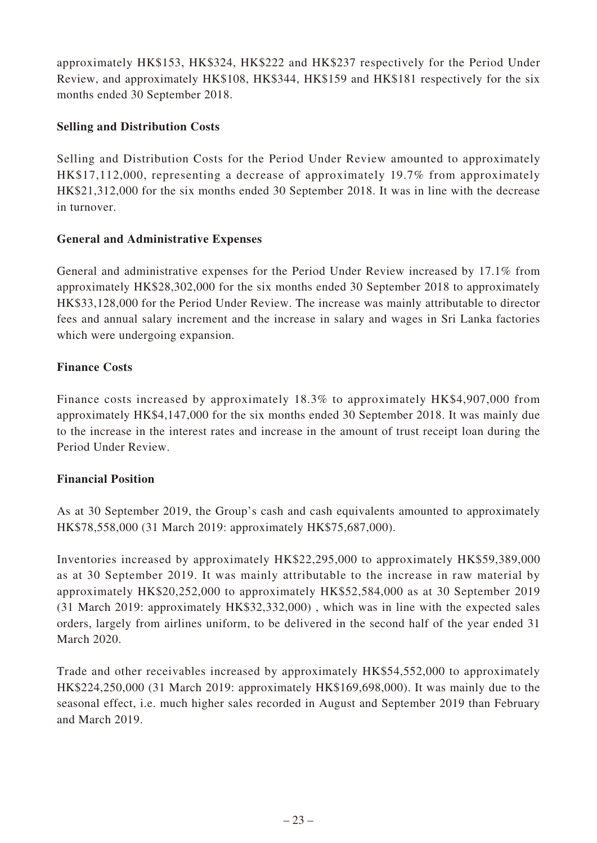approximately HK\$153, HK\$324, HK\$222 and HK\$237 respectively for the Period Under Review, and approximately HK\$108, HK\$344, HK\$159 and HK\$181 respectively for the six months ended 30 September 2018.

# **Selling and Distribution Costs**

Selling and Distribution Costs for the Period Under Review amounted to approximately HK\$17,112,000, representing a decrease of approximately 19.7% from approximately HK\$21,312,000 for the six months ended 30 September 2018. It was in line with the decrease in turnover.

# **General and Administrative Expenses**

General and administrative expenses for the Period Under Review increased by 17.1% from approximately HK\$28,302,000 for the six months ended 30 September 2018 to approximately HK\$33,128,000 for the Period Under Review. The increase was mainly attributable to director fees and annual salary increment and the increase in salary and wages in Sri Lanka factories which were undergoing expansion.

# **Finance Costs**

Finance costs increased by approximately 18.3% to approximately HK\$4,907,000 from approximately HK\$4,147,000 for the six months ended 30 September 2018. It was mainly due to the increase in the interest rates and increase in the amount of trust receipt loan during the Period Under Review.

### **Financial Position**

As at 30 September 2019, the Group's cash and cash equivalents amounted to approximately HK\$78,558,000 (31 March 2019: approximately HK\$75,687,000).

Inventories increased by approximately HK\$22,295,000 to approximately HK\$59,389,000 as at 30 September 2019. It was mainly attributable to the increase in raw material by approximately HK\$20,252,000 to approximately HK\$52,584,000 as at 30 September 2019 (31 March 2019: approximately HK\$32,332,000) , which was in line with the expected sales orders, largely from airlines uniform, to be delivered in the second half of the year ended 31 March 2020.

Trade and other receivables increased by approximately HK\$54,552,000 to approximately HK\$224,250,000 (31 March 2019: approximately HK\$169,698,000). It was mainly due to the seasonal effect, i.e. much higher sales recorded in August and September 2019 than February and March 2019.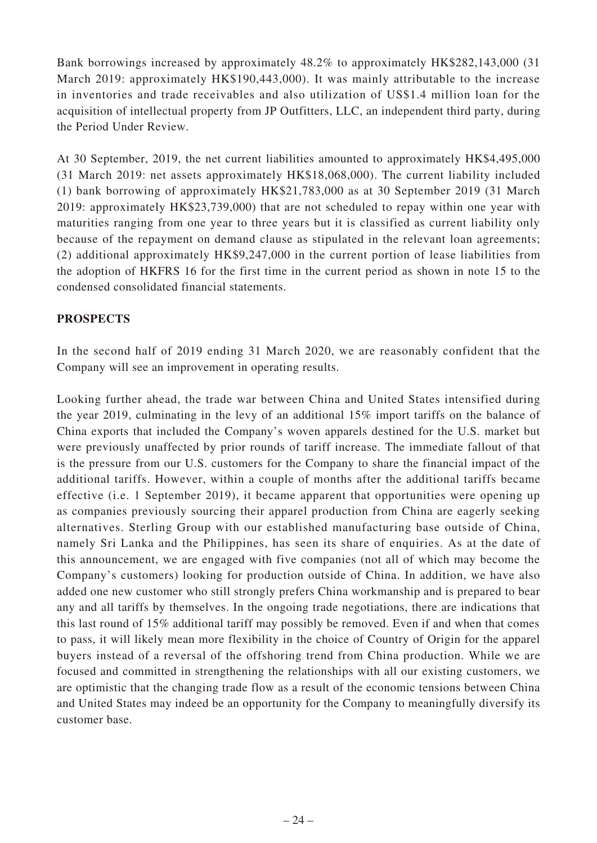Bank borrowings increased by approximately 48.2% to approximately HK\$282,143,000 (31 March 2019: approximately HK\$190,443,000). It was mainly attributable to the increase in inventories and trade receivables and also utilization of US\$1.4 million loan for the acquisition of intellectual property from JP Outfitters, LLC, an independent third party, during the Period Under Review.

At 30 September, 2019, the net current liabilities amounted to approximately HK\$4,495,000 (31 March 2019: net assets approximately HK\$18,068,000). The current liability included (1) bank borrowing of approximately HK\$21,783,000 as at 30 September 2019 (31 March 2019: approximately HK\$23,739,000) that are not scheduled to repay within one year with maturities ranging from one year to three years but it is classified as current liability only because of the repayment on demand clause as stipulated in the relevant loan agreements; (2) additional approximately HK\$9,247,000 in the current portion of lease liabilities from the adoption of HKFRS 16 for the first time in the current period as shown in note 15 to the condensed consolidated financial statements.

# **PROSPECTS**

In the second half of 2019 ending 31 March 2020, we are reasonably confident that the Company will see an improvement in operating results.

Looking further ahead, the trade war between China and United States intensified during the year 2019, culminating in the levy of an additional 15% import tariffs on the balance of China exports that included the Company's woven apparels destined for the U.S. market but were previously unaffected by prior rounds of tariff increase. The immediate fallout of that is the pressure from our U.S. customers for the Company to share the financial impact of the additional tariffs. However, within a couple of months after the additional tariffs became effective (i.e. 1 September 2019), it became apparent that opportunities were opening up as companies previously sourcing their apparel production from China are eagerly seeking alternatives. Sterling Group with our established manufacturing base outside of China, namely Sri Lanka and the Philippines, has seen its share of enquiries. As at the date of this announcement, we are engaged with five companies (not all of which may become the Company's customers) looking for production outside of China. In addition, we have also added one new customer who still strongly prefers China workmanship and is prepared to bear any and all tariffs by themselves. In the ongoing trade negotiations, there are indications that this last round of 15% additional tariff may possibly be removed. Even if and when that comes to pass, it will likely mean more flexibility in the choice of Country of Origin for the apparel buyers instead of a reversal of the offshoring trend from China production. While we are focused and committed in strengthening the relationships with all our existing customers, we are optimistic that the changing trade flow as a result of the economic tensions between China and United States may indeed be an opportunity for the Company to meaningfully diversify its customer base.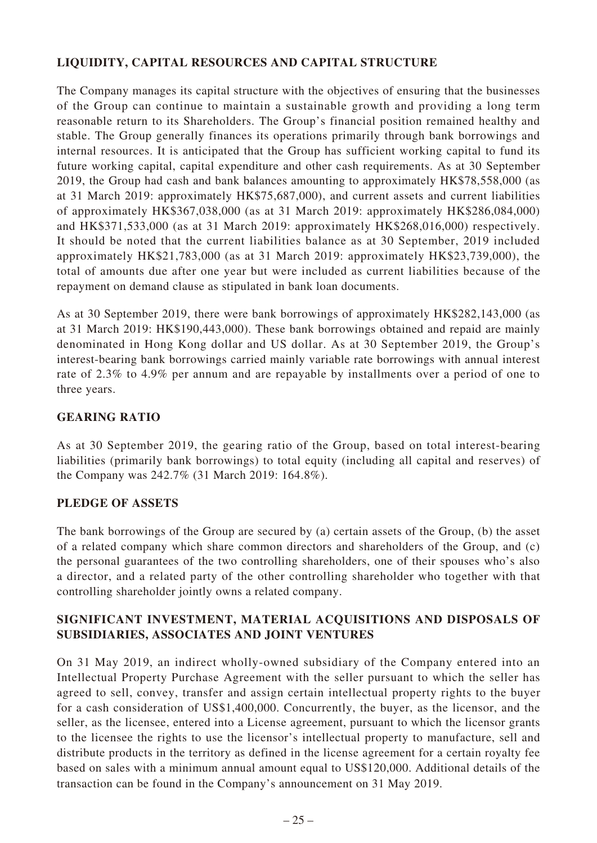# **LIQUIDITY, CAPITAL RESOURCES AND CAPITAL STRUCTURE**

The Company manages its capital structure with the objectives of ensuring that the businesses of the Group can continue to maintain a sustainable growth and providing a long term reasonable return to its Shareholders. The Group's financial position remained healthy and stable. The Group generally finances its operations primarily through bank borrowings and internal resources. It is anticipated that the Group has sufficient working capital to fund its future working capital, capital expenditure and other cash requirements. As at 30 September 2019, the Group had cash and bank balances amounting to approximately HK\$78,558,000 (as at 31 March 2019: approximately HK\$75,687,000), and current assets and current liabilities of approximately HK\$367,038,000 (as at 31 March 2019: approximately HK\$286,084,000) and HK\$371,533,000 (as at 31 March 2019: approximately HK\$268,016,000) respectively. It should be noted that the current liabilities balance as at 30 September, 2019 included approximately HK\$21,783,000 (as at 31 March 2019: approximately HK\$23,739,000), the total of amounts due after one year but were included as current liabilities because of the repayment on demand clause as stipulated in bank loan documents.

As at 30 September 2019, there were bank borrowings of approximately HK\$282,143,000 (as at 31 March 2019: HK\$190,443,000). These bank borrowings obtained and repaid are mainly denominated in Hong Kong dollar and US dollar. As at 30 September 2019, the Group's interest-bearing bank borrowings carried mainly variable rate borrowings with annual interest rate of 2.3% to 4.9% per annum and are repayable by installments over a period of one to three years.

# **GEARING RATIO**

As at 30 September 2019, the gearing ratio of the Group, based on total interest-bearing liabilities (primarily bank borrowings) to total equity (including all capital and reserves) of the Company was 242.7% (31 March 2019: 164.8%).

### **PLEDGE OF ASSETS**

The bank borrowings of the Group are secured by (a) certain assets of the Group, (b) the asset of a related company which share common directors and shareholders of the Group, and (c) the personal guarantees of the two controlling shareholders, one of their spouses who's also a director, and a related party of the other controlling shareholder who together with that controlling shareholder jointly owns a related company.

# **SIGNIFICANT INVESTMENT, MATERIAL ACQUISITIONS AND DISPOSALS OF SUBSIDIARIES, ASSOCIATES AND JOINT VENTURES**

On 31 May 2019, an indirect wholly-owned subsidiary of the Company entered into an Intellectual Property Purchase Agreement with the seller pursuant to which the seller has agreed to sell, convey, transfer and assign certain intellectual property rights to the buyer for a cash consideration of US\$1,400,000. Concurrently, the buyer, as the licensor, and the seller, as the licensee, entered into a License agreement, pursuant to which the licensor grants to the licensee the rights to use the licensor's intellectual property to manufacture, sell and distribute products in the territory as defined in the license agreement for a certain royalty fee based on sales with a minimum annual amount equal to US\$120,000. Additional details of the transaction can be found in the Company's announcement on 31 May 2019.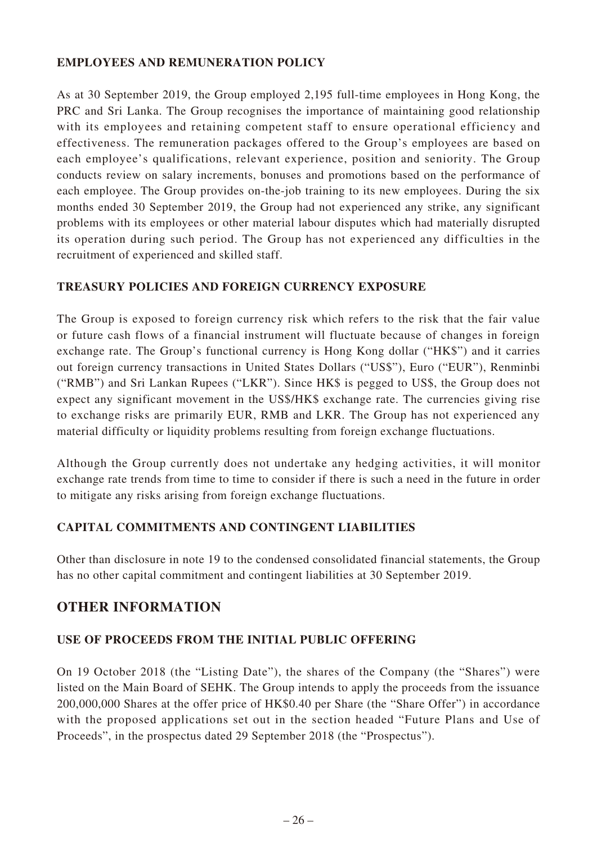# **EMPLOYEES AND REMUNERATION POLICY**

As at 30 September 2019, the Group employed 2,195 full-time employees in Hong Kong, the PRC and Sri Lanka. The Group recognises the importance of maintaining good relationship with its employees and retaining competent staff to ensure operational efficiency and effectiveness. The remuneration packages offered to the Group's employees are based on each employee's qualifications, relevant experience, position and seniority. The Group conducts review on salary increments, bonuses and promotions based on the performance of each employee. The Group provides on-the-job training to its new employees. During the six months ended 30 September 2019, the Group had not experienced any strike, any significant problems with its employees or other material labour disputes which had materially disrupted its operation during such period. The Group has not experienced any difficulties in the recruitment of experienced and skilled staff.

### **TREASURY POLICIES AND FOREIGN CURRENCY EXPOSURE**

The Group is exposed to foreign currency risk which refers to the risk that the fair value or future cash flows of a financial instrument will fluctuate because of changes in foreign exchange rate. The Group's functional currency is Hong Kong dollar ("HK\$") and it carries out foreign currency transactions in United States Dollars ("US\$"), Euro ("EUR"), Renminbi ("RMB") and Sri Lankan Rupees ("LKR"). Since HK\$ is pegged to US\$, the Group does not expect any significant movement in the US\$/HK\$ exchange rate. The currencies giving rise to exchange risks are primarily EUR, RMB and LKR. The Group has not experienced any material difficulty or liquidity problems resulting from foreign exchange fluctuations.

Although the Group currently does not undertake any hedging activities, it will monitor exchange rate trends from time to time to consider if there is such a need in the future in order to mitigate any risks arising from foreign exchange fluctuations.

# **CAPITAL COMMITMENTS AND CONTINGENT LIABILITIES**

Other than disclosure in note 19 to the condensed consolidated financial statements, the Group has no other capital commitment and contingent liabilities at 30 September 2019.

# **OTHER INFORMATION**

### **USE OF PROCEEDS FROM THE INITIAL PUBLIC OFFERING**

On 19 October 2018 (the "Listing Date"), the shares of the Company (the "Shares") were listed on the Main Board of SEHK. The Group intends to apply the proceeds from the issuance 200,000,000 Shares at the offer price of HK\$0.40 per Share (the "Share Offer") in accordance with the proposed applications set out in the section headed "Future Plans and Use of Proceeds", in the prospectus dated 29 September 2018 (the "Prospectus").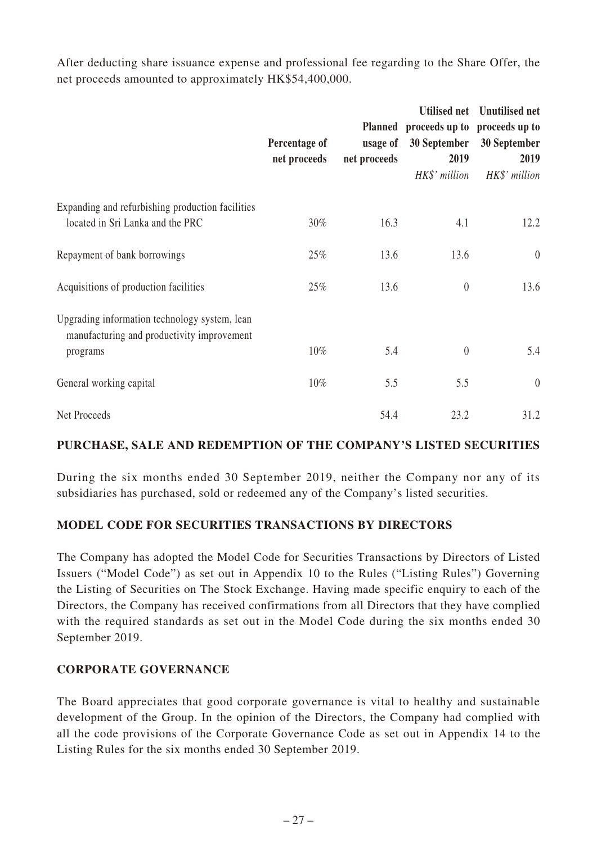After deducting share issuance expense and professional fee regarding to the Share Offer, the net proceeds amounted to approximately HK\$54,400,000.

|                                                                                                         | Percentage of<br>net proceeds | usage of<br>net proceeds | Planned proceeds up to proceeds up to<br>30 September<br>2019<br>HK\$' million | Utilised net Unutilised net<br>30 September<br>2019<br>HK\$' million |
|---------------------------------------------------------------------------------------------------------|-------------------------------|--------------------------|--------------------------------------------------------------------------------|----------------------------------------------------------------------|
| Expanding and refurbishing production facilities<br>located in Sri Lanka and the PRC                    | 30%                           | 16.3                     | 4.1                                                                            | 12.2                                                                 |
| Repayment of bank borrowings                                                                            | 25%                           | 13.6                     | 13.6                                                                           | $\theta$                                                             |
| Acquisitions of production facilities                                                                   | 25%                           | 13.6                     | $\boldsymbol{0}$                                                               | 13.6                                                                 |
| Upgrading information technology system, lean<br>manufacturing and productivity improvement<br>programs | $10\%$                        | 5.4                      | $\overline{0}$                                                                 | 5.4                                                                  |
| General working capital                                                                                 | $10\%$                        | 5.5                      | 5.5                                                                            | $\theta$                                                             |
| Net Proceeds                                                                                            |                               | 54.4                     | 23.2                                                                           | 31.2                                                                 |

# **PURCHASE, SALE AND REDEMPTION OF THE COMPANY'S LISTED SECURITIES**

During the six months ended 30 September 2019, neither the Company nor any of its subsidiaries has purchased, sold or redeemed any of the Company's listed securities.

### **MODEL CODE FOR SECURITIES TRANSACTIONS BY DIRECTORS**

The Company has adopted the Model Code for Securities Transactions by Directors of Listed Issuers ("Model Code") as set out in Appendix 10 to the Rules ("Listing Rules") Governing the Listing of Securities on The Stock Exchange. Having made specific enquiry to each of the Directors, the Company has received confirmations from all Directors that they have complied with the required standards as set out in the Model Code during the six months ended 30 September 2019.

### **CORPORATE GOVERNANCE**

The Board appreciates that good corporate governance is vital to healthy and sustainable development of the Group. In the opinion of the Directors, the Company had complied with all the code provisions of the Corporate Governance Code as set out in Appendix 14 to the Listing Rules for the six months ended 30 September 2019.